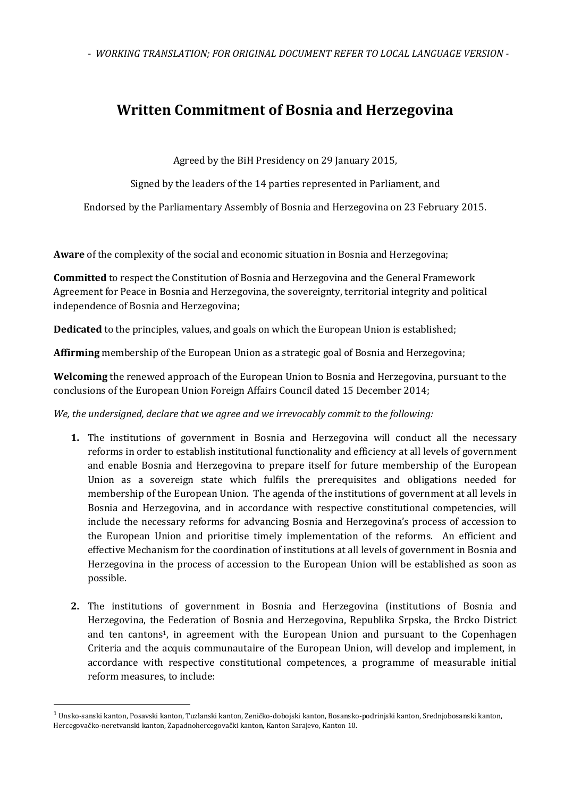- *WORKING TRANSLATION; FOR ORIGINAL DOCUMENT REFER TO LOCAL LANGUAGE VERSION -*

## **Written Commitment of Bosnia and Herzegovina**

Agreed by the BiH Presidency on 29 January 2015,

Signed by the leaders of the 14 parties represented in Parliament, and

Endorsed by the Parliamentary Assembly of Bosnia and Herzegovina on 23 February 2015.

**Aware** of the complexity of the social and economic situation in Bosnia and Herzegovina;

**Committed** to respect the Constitution of Bosnia and Herzegovina and the General Framework Agreement for Peace in Bosnia and Herzegovina, the sovereignty, territorial integrity and political independence of Bosnia and Herzegovina;

**Dedicated** to the principles, values, and goals on which the European Union is established;

**Affirming** membership of the European Union as a strategic goal of Bosnia and Herzegovina;

**Welcoming** the renewed approach of the European Union to Bosnia and Herzegovina, pursuant to the conclusions of the European Union Foreign Affairs Council dated 15 December 2014;

*We, the undersigned, declare that we agree and we irrevocably commit to the following:*

- **1.** The institutions of government in Bosnia and Herzegovina will conduct all the necessary reforms in order to establish institutional functionality and efficiency at all levels of government and enable Bosnia and Herzegovina to prepare itself for future membership of the European Union as a sovereign state which fulfils the prerequisites and obligations needed for membership of the European Union. The agenda of the institutions of government at all levels in Bosnia and Herzegovina, and in accordance with respective constitutional competencies, will include the necessary reforms for advancing Bosnia and Herzegovina's process of accession to the European Union and prioritise timely implementation of the reforms. An efficient and effective Mechanism for the coordination of institutions at all levels of government in Bosnia and Herzegovina in the process of accession to the European Union will be established as soon as possible.
- **2.** The institutions of government in Bosnia and Herzegovina (institutions of Bosnia and Herzegovina, the Federation of Bosnia and Herzegovina, Republika Srpska, the Brcko District and ten cantons1, in agreement with the European Union and pursuant to the Copenhagen Criteria and the acquis communautaire of the European Union, will develop and implement, in accordance with respective constitutional competences, a programme of measurable initial reform measures, to include:

**.** 

<sup>1</sup> Unsko-sanski kanton, Posavski kanton, Tuzlanski kanton, Zeničko-dobojski kanton, Bosansko-podrinjski kanton, Srednjobosanski kanton, Hercegovačko-neretvanski kanton, Zapadnohercegovački kanton, Kanton Sarajevo, Kanton 10.